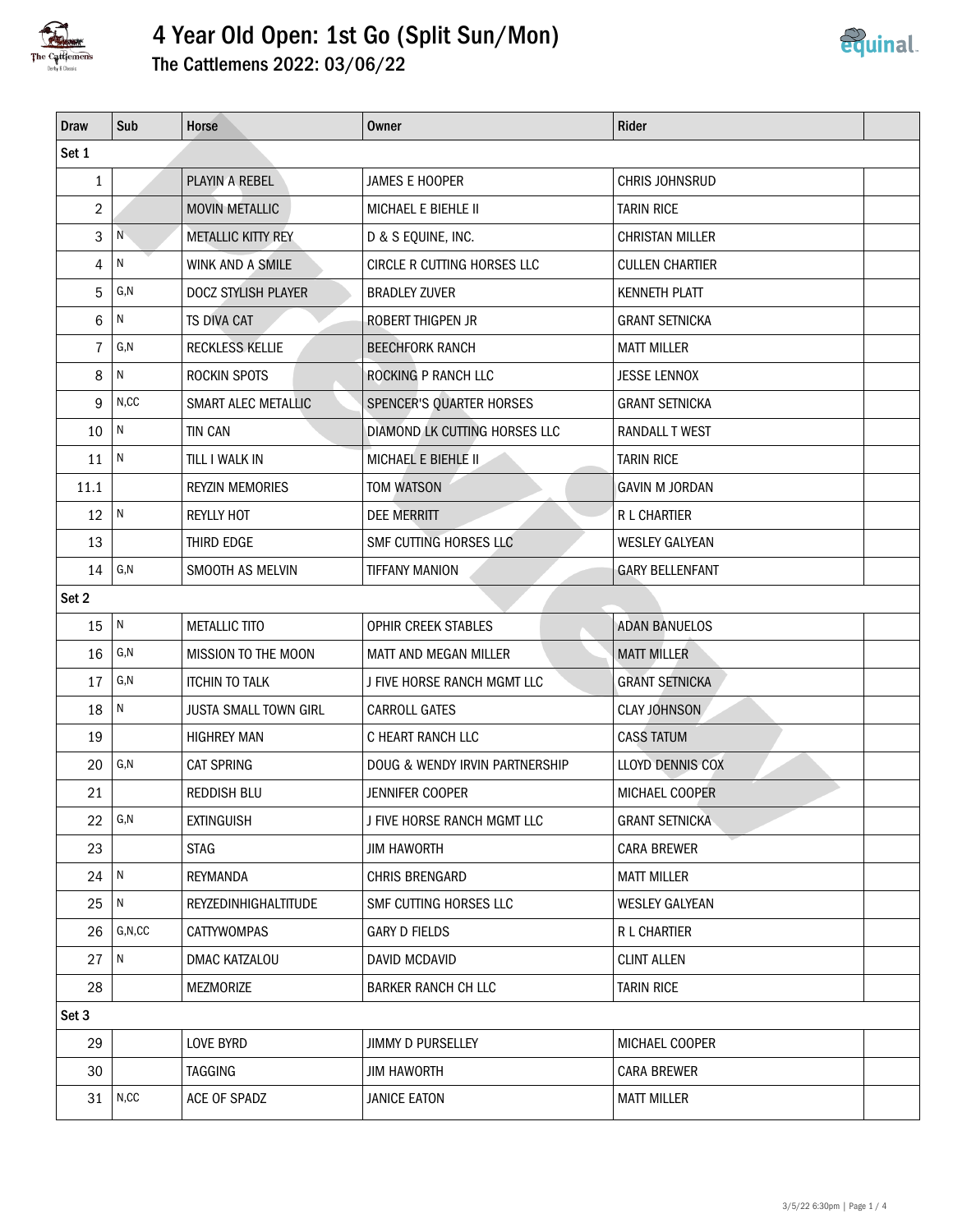

# 4 Year Old Open: 1st Go (Split Sun/Mon)



|  | The Cattlemens 2022: 03/06/22 |  |  |  |  |
|--|-------------------------------|--|--|--|--|
|--|-------------------------------|--|--|--|--|

| <b>Draw</b>    | Sub            | Horse                        | Owner                          | Rider                   |  |
|----------------|----------------|------------------------------|--------------------------------|-------------------------|--|
| Set 1          |                |                              |                                |                         |  |
| $\mathbf{1}$   |                | PLAYIN A REBEL               | JAMES E HOOPER                 | CHRIS JOHNSRUD          |  |
| $\overline{2}$ |                | <b>MOVIN METALLIC</b>        | MICHAEL E BIEHLE II            | <b>TARIN RICE</b>       |  |
| 3              | N              | <b>METALLIC KITTY REY</b>    | D & S EQUINE, INC.             | <b>CHRISTAN MILLER</b>  |  |
| 4              | N              | WINK AND A SMILE             | CIRCLE R CUTTING HORSES LLC    | <b>CULLEN CHARTIER</b>  |  |
| 5              | G,N            | DOCZ STYLISH PLAYER          | <b>BRADLEY ZUVER</b>           | <b>KENNETH PLATT</b>    |  |
| 6              | N              | <b>TS DIVA CAT</b>           | ROBERT THIGPEN JR              | <b>GRANT SETNICKA</b>   |  |
| $\overline{7}$ | G, N           | <b>RECKLESS KELLIE</b>       | <b>BEECHFORK RANCH</b>         | <b>MATT MILLER</b>      |  |
| 8              | N              | ROCKIN SPOTS                 | ROCKING P RANCH LLC            | <b>JESSE LENNOX</b>     |  |
| 9              | N, CC          | SMART ALEC METALLIC          | SPENCER'S QUARTER HORSES       | <b>GRANT SETNICKA</b>   |  |
| 10             | $\,$ N         | <b>TIN CAN</b>               | DIAMOND LK CUTTING HORSES LLC  | <b>RANDALL T WEST</b>   |  |
| 11             | $\overline{N}$ | TILL I WALK IN               | MICHAEL E BIEHLE II            | <b>TARIN RICE</b>       |  |
| 11.1           |                | <b>REYZIN MEMORIES</b>       | <b>TOM WATSON</b>              | <b>GAVIN M JORDAN</b>   |  |
| 12             | $\overline{N}$ | <b>REYLLY HOT</b>            | <b>DEE MERRITT</b>             | R L CHARTIER            |  |
| 13             |                | THIRD EDGE                   | SMF CUTTING HORSES LLC         | <b>WESLEY GALYEAN</b>   |  |
| 14             | G, N           | SMOOTH AS MELVIN             | <b>TIFFANY MANION</b>          | <b>GARY BELLENFANT</b>  |  |
| Set 2          |                |                              |                                |                         |  |
| 15             | N              | <b>METALLIC TITO</b>         | OPHIR CREEK STABLES            | <b>ADAN BANUELOS</b>    |  |
| 16             | G,N            | MISSION TO THE MOON          | MATT AND MEGAN MILLER          | <b>MATT MILLER</b>      |  |
| 17             | G,N            | <b>ITCHIN TO TALK</b>        | J FIVE HORSE RANCH MGMT LLC    | <b>GRANT SETNICKA</b>   |  |
| 18             | N              | <b>JUSTA SMALL TOWN GIRL</b> | <b>CARROLL GATES</b>           | <b>CLAY JOHNSON</b>     |  |
| 19             |                | <b>HIGHREY MAN</b>           | C HEART RANCH LLC              | <b>CASS TATUM</b>       |  |
| 20             | G,N            | <b>CAT SPRING</b>            | DOUG & WENDY IRVIN PARTNERSHIP | <b>LLOYD DENNIS COX</b> |  |
| 21             |                | <b>REDDISH BLU</b>           | <b>JENNIFER COOPER</b>         | MICHAEL COOPER          |  |
| 22             | G,N            | <b>EXTINGUISH</b>            | J FIVE HORSE RANCH MGMT LLC    | <b>GRANT SETNICKA</b>   |  |
| 23             |                | <b>STAG</b>                  | <b>JIM HAWORTH</b>             | <b>CARA BREWER</b>      |  |
| 24             | $\mathsf{N}$   | <b>REYMANDA</b>              | CHRIS BRENGARD                 | <b>MATT MILLER</b>      |  |
| 25             | N              | REYZEDINHIGHALTITUDE         | SMF CUTTING HORSES LLC         | <b>WESLEY GALYEAN</b>   |  |
| 26             | G, N, CC       | CATTYWOMPAS                  | <b>GARY D FIELDS</b>           | R L CHARTIER            |  |
| 27             | N              | DMAC KATZALOU                | DAVID MCDAVID                  | <b>CLINT ALLEN</b>      |  |
| 28             |                | MEZMORIZE                    | BARKER RANCH CH LLC            | <b>TARIN RICE</b>       |  |
| Set 3          |                |                              |                                |                         |  |
| 29             |                | LOVE BYRD                    | <b>JIMMY D PURSELLEY</b>       | MICHAEL COOPER          |  |
| 30             |                | TAGGING                      | <b>JIM HAWORTH</b>             | <b>CARA BREWER</b>      |  |
| 31             | N, CC          | ACE OF SPADZ                 | <b>JANICE EATON</b>            | <b>MATT MILLER</b>      |  |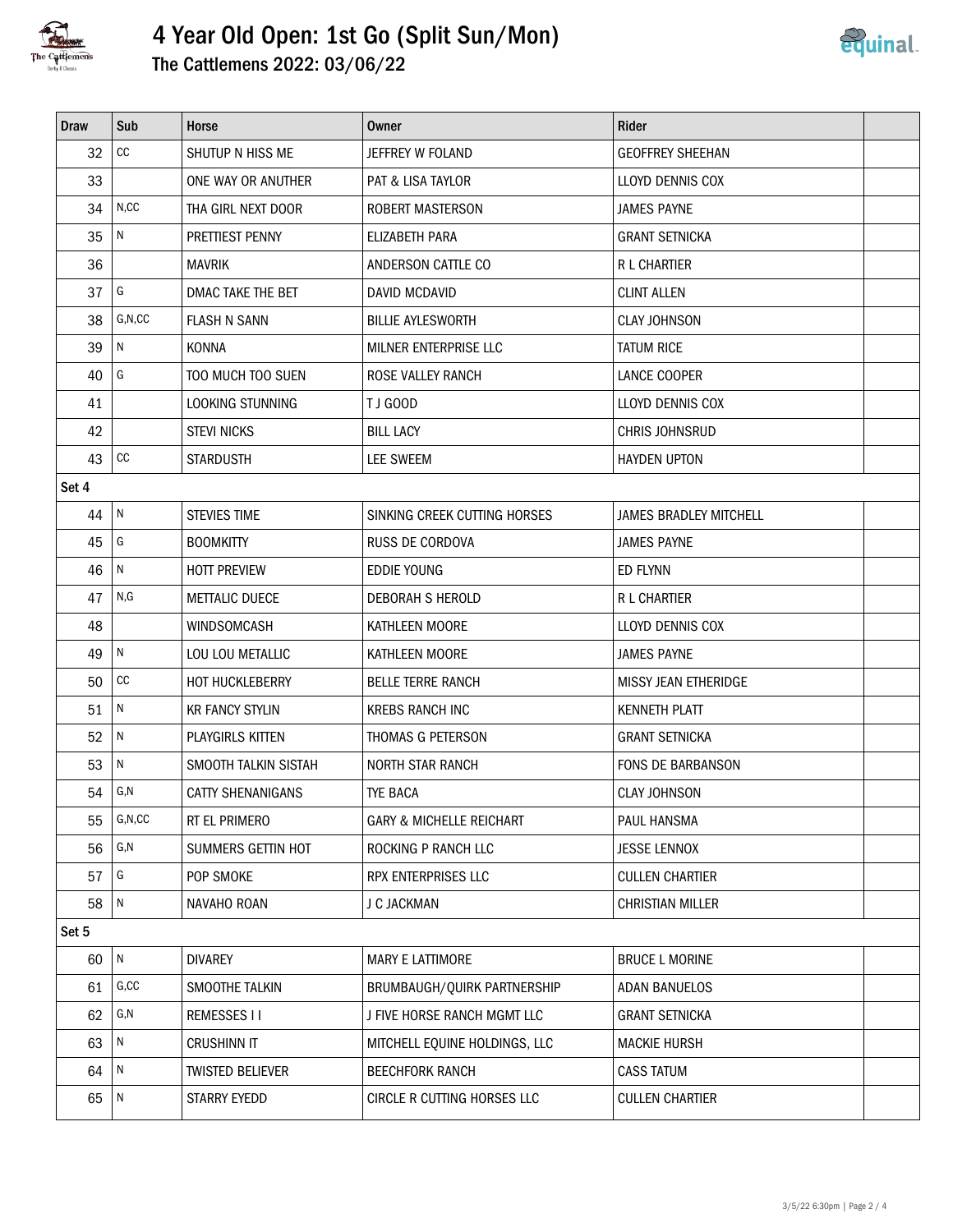

## 4 Year Old Open: 1st Go (Split Sun/Mon) The Cattlemens 2022: 03/06/22



| <b>Draw</b> | Sub            | Horse                    | Owner                               | Rider                    |  |  |
|-------------|----------------|--------------------------|-------------------------------------|--------------------------|--|--|
| 32          | $_{\rm CC}$    | SHUTUP N HISS ME         | JEFFREY W FOLAND                    | <b>GEOFFREY SHEEHAN</b>  |  |  |
| 33          |                | ONE WAY OR ANUTHER       | <b>PAT &amp; LISA TAYLOR</b>        | LLOYD DENNIS COX         |  |  |
| 34          | N, CC          | THA GIRL NEXT DOOR       | ROBERT MASTERSON                    | <b>JAMES PAYNE</b>       |  |  |
| 35          | $\overline{N}$ | PRETTIEST PENNY          | ELIZABETH PARA                      | <b>GRANT SETNICKA</b>    |  |  |
| 36          |                | <b>MAVRIK</b>            | ANDERSON CATTLE CO                  | R L CHARTIER             |  |  |
| 37          | G              | DMAC TAKE THE BET        | <b>DAVID MCDAVID</b>                | <b>CLINT ALLEN</b>       |  |  |
| 38          | G, N, CC       | <b>FLASH N SANN</b>      | <b>BILLIE AYLESWORTH</b>            | <b>CLAY JOHNSON</b>      |  |  |
| 39          | $\overline{N}$ | <b>KONNA</b>             | MILNER ENTERPRISE LLC               | <b>TATUM RICE</b>        |  |  |
| 40          | G              | TOO MUCH TOO SUEN        | ROSE VALLEY RANCH                   | LANCE COOPER             |  |  |
| 41          |                | LOOKING STUNNING         | TJ GOOD                             | LLOYD DENNIS COX         |  |  |
| 42          |                | <b>STEVI NICKS</b>       | <b>BILL LACY</b>                    | CHRIS JOHNSRUD           |  |  |
| 43          | cc             | <b>STARDUSTH</b>         | LEE SWEEM                           | <b>HAYDEN UPTON</b>      |  |  |
| Set 4       |                |                          |                                     |                          |  |  |
| 44          | $\overline{N}$ | <b>STEVIES TIME</b>      | SINKING CREEK CUTTING HORSES        | JAMES BRADLEY MITCHELL   |  |  |
| 45          | G              | <b>BOOMKITTY</b>         | <b>RUSS DE CORDOVA</b>              | <b>JAMES PAYNE</b>       |  |  |
| 46          | ${\sf N}$      | HOTT PREVIEW             | <b>EDDIE YOUNG</b>                  | ED FLYNN                 |  |  |
| 47          | N, G           | <b>METTALIC DUECE</b>    | DEBORAH S HEROLD                    | R L CHARTIER             |  |  |
| 48          |                | WINDSOMCASH              | KATHLEEN MOORE                      | LLOYD DENNIS COX         |  |  |
| 49          | $\mathsf{N}$   | LOU LOU METALLIC         | KATHLEEN MOORE                      | <b>JAMES PAYNE</b>       |  |  |
| 50          | $_{\rm CC}$    | <b>HOT HUCKLEBERRY</b>   | <b>BELLE TERRE RANCH</b>            | MISSY JEAN ETHERIDGE     |  |  |
| 51          | $\mathsf{N}$   | <b>KR FANCY STYLIN</b>   | <b>KREBS RANCH INC</b>              | <b>KENNETH PLATT</b>     |  |  |
| 52          | $\mathsf{N}$   | PLAYGIRLS KITTEN         | THOMAS G PETERSON                   | <b>GRANT SETNICKA</b>    |  |  |
| 53          | $\mathsf{N}$   | SMOOTH TALKIN SISTAH     | <b>NORTH STAR RANCH</b>             | <b>FONS DE BARBANSON</b> |  |  |
| 54          | G,N            | <b>CATTY SHENANIGANS</b> | <b>TYE BACA</b>                     | <b>CLAY JOHNSON</b>      |  |  |
| 55          | G, N, CC       | RT EL PRIMERO            | <b>GARY &amp; MICHELLE REICHART</b> | PAUL HANSMA              |  |  |
| 56          | G, N           | SUMMERS GETTIN HOT       | ROCKING P RANCH LLC                 | <b>JESSE LENNOX</b>      |  |  |
| 57          | G              | POP SMOKE                | RPX ENTERPRISES LLC                 | <b>CULLEN CHARTIER</b>   |  |  |
| 58          | N              | NAVAHO ROAN              | J C JACKMAN                         | <b>CHRISTIAN MILLER</b>  |  |  |
| Set 5       |                |                          |                                     |                          |  |  |
| 60          | $\mathsf{N}$   | <b>DIVAREY</b>           | MARY E LATTIMORE                    | <b>BRUCE L MORINE</b>    |  |  |
| 61          | G, CC          | SMOOTHE TALKIN           | BRUMBAUGH/QUIRK PARTNERSHIP         | <b>ADAN BANUELOS</b>     |  |  |
| 62          | G,N            | <b>REMESSES II</b>       | J FIVE HORSE RANCH MGMT LLC         | <b>GRANT SETNICKA</b>    |  |  |
| 63          | N              | <b>CRUSHINN IT</b>       | MITCHELL EQUINE HOLDINGS, LLC       | <b>MACKIE HURSH</b>      |  |  |
| 64          | ${\sf N}$      | <b>TWISTED BELIEVER</b>  | <b>BEECHFORK RANCH</b>              | <b>CASS TATUM</b>        |  |  |
| 65          | $\sqrt{N}$     | STARRY EYEDD             | CIRCLE R CUTTING HORSES LLC         | <b>CULLEN CHARTIER</b>   |  |  |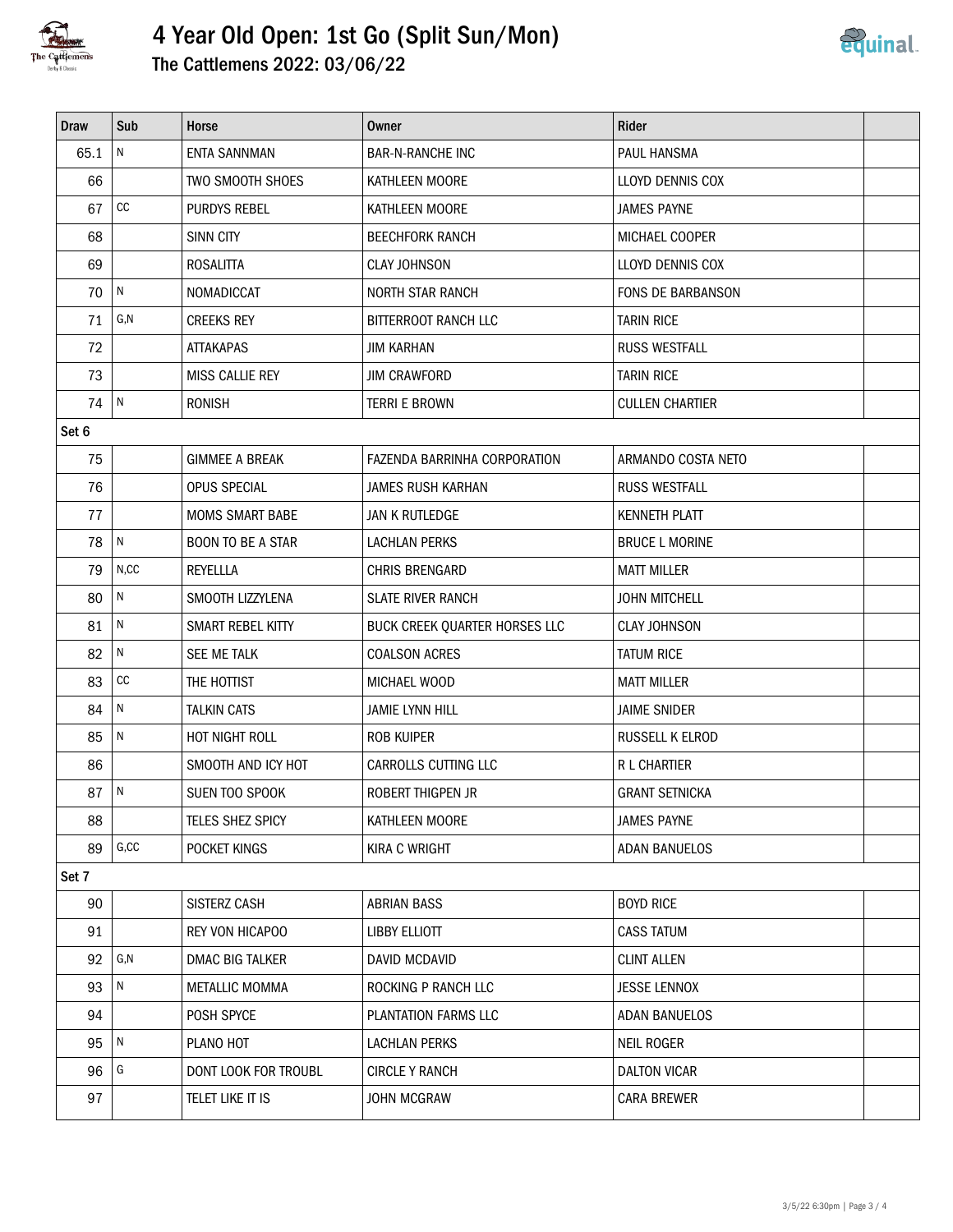

## 4 Year Old Open: 1st Go (Split Sun/Mon) The Cattlemens 2022: 03/06/22



| <b>Draw</b> | Sub               | Horse                    | <b>Owner</b>                  | Rider                  |  |  |
|-------------|-------------------|--------------------------|-------------------------------|------------------------|--|--|
| 65.1        | ${\sf N}$         | <b>ENTA SANNMAN</b>      | <b>BAR-N-RANCHE INC</b>       | PAUL HANSMA            |  |  |
| 66          |                   | TWO SMOOTH SHOES         | KATHLEEN MOORE                | LLOYD DENNIS COX       |  |  |
| 67          | $\mathop{\rm CC}$ | PURDYS REBEL             | KATHLEEN MOORE                | <b>JAMES PAYNE</b>     |  |  |
| 68          |                   | <b>SINN CITY</b>         | <b>BEECHFORK RANCH</b>        | MICHAEL COOPER         |  |  |
| 69          |                   | <b>ROSALITTA</b>         | <b>CLAY JOHNSON</b>           | LLOYD DENNIS COX       |  |  |
| 70          | N                 | NOMADICCAT               | <b>NORTH STAR RANCH</b>       | FONS DE BARBANSON      |  |  |
| 71          | G, N              | <b>CREEKS REY</b>        | <b>BITTERROOT RANCH LLC</b>   | <b>TARIN RICE</b>      |  |  |
| 72          |                   | ATTAKAPAS                | <b>JIM KARHAN</b>             | <b>RUSS WESTFALL</b>   |  |  |
| 73          |                   | MISS CALLIE REY          | <b>JIM CRAWFORD</b>           | <b>TARIN RICE</b>      |  |  |
| 74          | N                 | <b>RONISH</b>            | <b>TERRI E BROWN</b>          | <b>CULLEN CHARTIER</b> |  |  |
| Set 6       |                   |                          |                               |                        |  |  |
| 75          |                   | <b>GIMMEE A BREAK</b>    | FAZENDA BARRINHA CORPORATION  | ARMANDO COSTA NETO     |  |  |
| 76          |                   | OPUS SPECIAL             | JAMES RUSH KARHAN             | <b>RUSS WESTFALL</b>   |  |  |
| 77          |                   | <b>MOMS SMART BABE</b>   | JAN K RUTLEDGE                | <b>KENNETH PLATT</b>   |  |  |
| 78          | $\mathsf{N}$      | <b>BOON TO BE A STAR</b> | <b>LACHLAN PERKS</b>          | <b>BRUCE L MORINE</b>  |  |  |
| 79          | N, CC             | <b>REYELLLA</b>          | CHRIS BRENGARD                | <b>MATT MILLER</b>     |  |  |
| 80          | $\mathsf{N}$      | SMOOTH LIZZYLENA         | <b>SLATE RIVER RANCH</b>      | <b>JOHN MITCHELL</b>   |  |  |
| 81          | ${\sf N}$         | SMART REBEL KITTY        | BUCK CREEK QUARTER HORSES LLC | <b>CLAY JOHNSON</b>    |  |  |
| 82          | $\mathsf{N}$      | SEE ME TALK              | <b>COALSON ACRES</b>          | <b>TATUM RICE</b>      |  |  |
| 83          | $\mathop{\rm CC}$ | THE HOTTIST              | MICHAEL WOOD                  | <b>MATT MILLER</b>     |  |  |
| 84          | $\mathsf{N}$      | <b>TALKIN CATS</b>       | <b>JAMIE LYNN HILL</b>        | <b>JAIME SNIDER</b>    |  |  |
| 85          | ${\sf N}$         | HOT NIGHT ROLL           | ROB KUIPER                    | RUSSELL K ELROD        |  |  |
| 86          |                   | SMOOTH AND ICY HOT       | CARROLLS CUTTING LLC          | R L CHARTIER           |  |  |
| 87          | $\overline{N}$    | SUEN TOO SPOOK           | ROBERT THIGPEN JR             | <b>GRANT SETNICKA</b>  |  |  |
| 88          |                   | TELES SHEZ SPICY         | KATHLEEN MOORE                | <b>JAMES PAYNE</b>     |  |  |
| 89          | G, CC             | POCKET KINGS             | KIRA C WRIGHT                 | <b>ADAN BANUELOS</b>   |  |  |
| Set 7       |                   |                          |                               |                        |  |  |
| 90          |                   | SISTERZ CASH             | <b>ABRIAN BASS</b>            | <b>BOYD RICE</b>       |  |  |
| 91          |                   | REY VON HICAPOO          | <b>LIBBY ELLIOTT</b>          | <b>CASS TATUM</b>      |  |  |
| 92          | G,N               | DMAC BIG TALKER          | DAVID MCDAVID                 | <b>CLINT ALLEN</b>     |  |  |
| 93          | $\mathsf{N}$      | METALLIC MOMMA           | ROCKING P RANCH LLC           | <b>JESSE LENNOX</b>    |  |  |
| 94          |                   | POSH SPYCE               | PLANTATION FARMS LLC          | <b>ADAN BANUELOS</b>   |  |  |
| 95          | $\,$ N            | PLANO HOT                | <b>LACHLAN PERKS</b>          | <b>NEIL ROGER</b>      |  |  |
| 96          | G                 | DONT LOOK FOR TROUBL     | <b>CIRCLE Y RANCH</b>         | <b>DALTON VICAR</b>    |  |  |
| 97          |                   | TELET LIKE IT IS         | JOHN MCGRAW                   | <b>CARA BREWER</b>     |  |  |